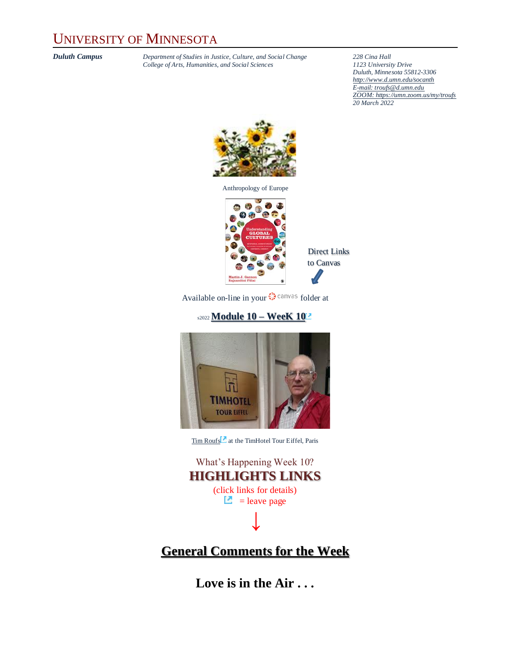## UNIVERSITY OF MINNESOTA

*Duluth Campus Department of Studies in Justice, Culture, and Social Change* **228** *Cina Hall College of Arts, Humanities, and Social Sciences 2123 University Drive*  $College$  of Arts, Humanities, and Social Sciences

*Duluth, Minnesota 55812-3306 <http://www.d.umn.edu/socanth> E-mail[: troufs@d.umn.edu](mailto:troufs@d.umn.edu) ZOOM[: https://umn.zoom.us/my/troufs](https://umn.zoom.us/my/troufs) 20 March 2022*



Anthropology of Europe



Direct Links to Canvas

Availableon-line in your  $\bigcirc$  canvas folder at

### s2022 **[Module 10](https://canvas.umn.edu/courses/282731/modules/945924) – WeeK 10**



[Tim Roufs](http://www.d.umn.edu/~troufs/#title)<sup>2</sup> at the TimHotel Tour Eiffel, Paris

| What's Happening Week 10?                        |
|--------------------------------------------------|
| <b>HIGHLIGHTS LINKS</b>                          |
| (click links for details)<br>$\Box$ = leave page |
|                                                  |

### **[General Comments for the Week](#page-4-0)**

**Love is in the Air . . .**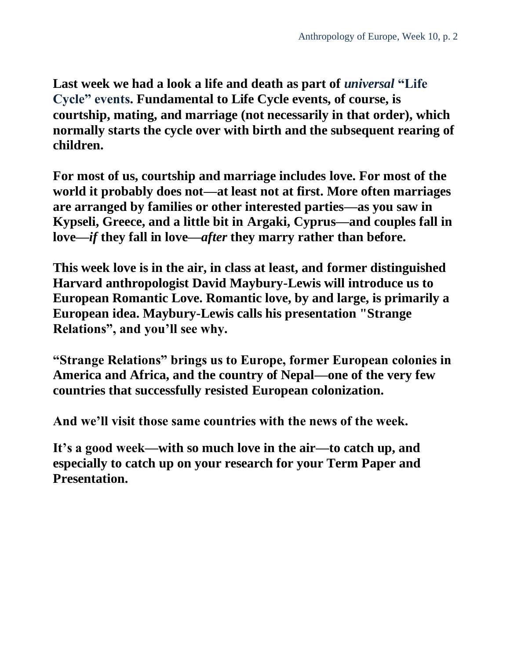Last week we had a look a life and death as part of *universal* "Life" **Cycle" events. Fundamental to Life Cycle events, of course, is courtship, mating, and marriage (not necessarily in that order), which normally starts the cycle over with birth and the subsequent rearing of children.** 

**For most of us, courtship and marriage includes love. For most of the world it probably does not—at least not at first. More often marriages are arranged by families or other interested parties—as you saw in Kypseli, Greece, and a little bit in Argaki, Cyprus—and couples fall in love—***if* **they fall in love—***after* **they marry rather than before.** 

**This week love is in the air, in class at least, and former distinguished Harvard anthropologist David Maybury-Lewis will introduce us to European Romantic Love. Romantic love, by and large, is primarily a European idea. Maybury-Lewis calls his presentation "Strange Relations", and you'll see why.**

**"Strange Relations" brings us to Europe, former European colonies in America and Africa, and the country of Nepal—one of the very few countries that successfully resisted European colonization.**

**And we'll visit those same countries with the news of the week.**

**It's a good week—with so much love in the air—to catch up, and especially to catch up on your research for your Term Paper and Presentation.**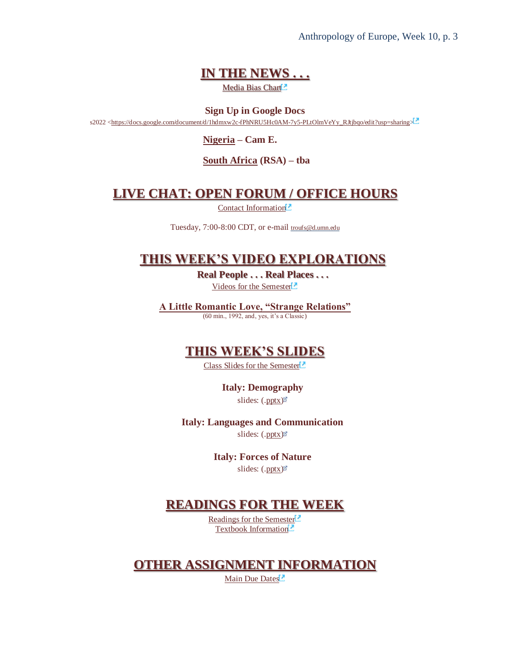Anthropology of Europe, Week 10, p. 3

### **[IN THE NEWS . . .](#page-5-0)**

Media Bias Chart<sup>2</sup>

**Sign Up in Google Docs** s2022 [<https://docs.google.com/document/d/1hdmxw2c-fPhNRU5Hc0AM-7y5-PLtOlmVeYy\\_RJtjbqo/edit?usp=sharing>](https://docs.google.com/document/d/1hdmxw2c-fPhNRU5Hc0AM-7y5-PLtOlmVeYy_RJtjbqo/edit?usp=sharing)

**[Nigeria](https://www.d.umn.edu/cla/faculty/troufs/anth1095/Nigeria.html#project_sources) – Cam E.**

**[South Africa](https://www.d.umn.edu/cla/faculty/troufs/anth1095/South_Africa.html#project_sources) (RSA) – tba**

### **[LIVE CHAT: OPEN FORUM / OFFICE HOURS](#page-5-1)**

[Contact Information](http://www.d.umn.edu/cla/faculty/troufs/anth1602/pcoffice.html#title)<sup>2</sup>

Tuesday, 7:00-8:00 CDT, or e-mail [troufs@d.umn.edu](mailto:troufs@d.umn.edu)

### **[THIS WEEK'S VIDEO EXPLORATIONS](#page-6-0)**

**Real People . . . Real Places . . .** [Videos for the Semester](https://www.d.umn.edu/cla/faculty/troufs/anth3635/cevideo_schedule.html#title)

**[A Little Romantic Love, "Strange Relations"](#page-6-1)** (60 min., 1992, and, yes, it's a Classic)

### **[THIS WEEK'S SLIDES](#page-7-0)**

[Class Slides for the Semester](https://www.d.umn.edu/cla/faculty/troufs/anth3635/ceslides.html#title)<sup>[2]</sup>

**Italy: Demography** slides: [\(.pptx\)](https://www.d.umn.edu/cla/faculty/troufs/anth3635/PowerPoint/Italy_1_demography.pptx)

#### **Italy: Languages and Communication**

slides: [\(.pptx\)](https://www.d.umn.edu/cla/faculty/troufs/anth3635/PowerPoint/Italy_2_languages.pptx)

**Italy: Forces of Nature**

slides: [\(.pptx\)](https://www.d.umn.edu/cla/faculty/troufs/anth3635/PowerPoint/Italy_4_forces_of_nature.pptx)

### **[READINGS FOR THE WEEK](#page-8-0)**

[Readings for the Semester](https://www.d.umn.edu/cla/faculty/troufs/anth3635/ceread-s.html#title)<sup>[2]</sup> [Textbook Information](https://www.d.umn.edu/cla/faculty/troufs/anth3635/cetexts.html#title)

### **[OTHER ASSIGNMENT INFORMATION](#page-8-1)**

[Main Due Dates](https://www.d.umn.edu/cla/faculty/troufs/anth3635/cedue-dates.html#title)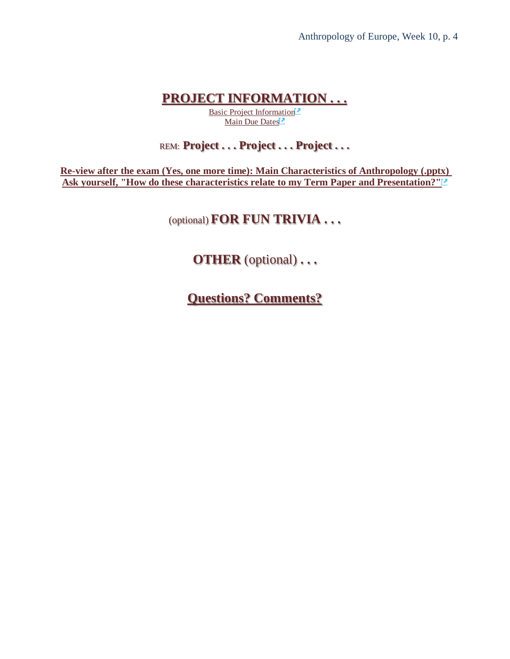### **[PROJECT INFORMATION . . .](#page-8-2)**

[Basic Project Information](https://www.d.umn.edu/cla/faculty/troufs/anth3635/ceproject.html#title)<sup>1</sup> [Main Due Dates](https://www.d.umn.edu/cla/faculty/troufs/anth3635/cedue-dates.html#title)

### REM: **Project . . . Project . . . Project . . .**

**[Re-view after the exam \(Yes, one more time\): Main Characteristics of Anthropology \(.pptx\)](https://canvas.umn.edu/courses/282731/modules/items/6965673)  [Ask yourself, "How do these characteristics relate to my Term Paper and Presentation?"](https://canvas.umn.edu/courses/282731/modules/items/6965673)**

### (optional) **FOR FUN TRIVIA . . .**

## **OTHER** (optional) **. . .**

**[Questions? Comments?](#page-10-0)**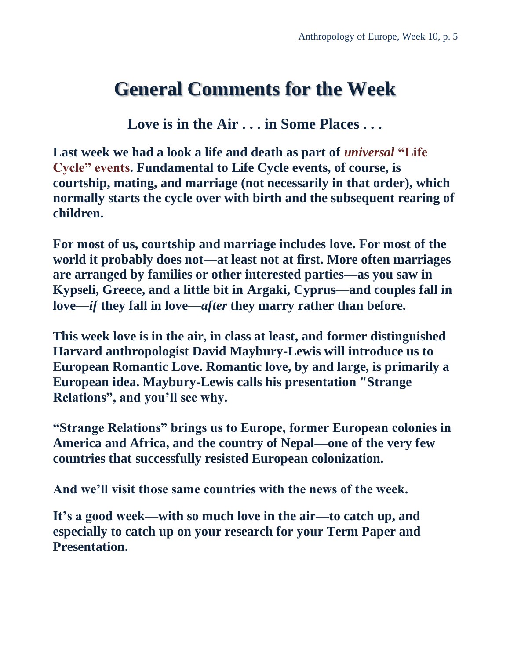## <span id="page-4-0"></span>**General Comments for the Week**

**Love is in the Air . . . in Some Places . . .**

Last week we had a look a life and death as part of *universal* "Life" **Cycle" events. Fundamental to Life Cycle events, of course, is courtship, mating, and marriage (not necessarily in that order), which normally starts the cycle over with birth and the subsequent rearing of children.** 

**For most of us, courtship and marriage includes love. For most of the world it probably does not—at least not at first. More often marriages are arranged by families or other interested parties—as you saw in Kypseli, Greece, and a little bit in Argaki, Cyprus—and couples fall in love—***if* **they fall in love—***after* **they marry rather than before.**

**This week love is in the air, in class at least, and former distinguished Harvard anthropologist David Maybury-Lewis will introduce us to European Romantic Love. Romantic love, by and large, is primarily a European idea. Maybury-Lewis calls his presentation "Strange Relations", and you'll see why.**

**"Strange Relations" brings us to Europe, former European colonies in America and Africa, and the country of Nepal—one of the very few countries that successfully resisted European colonization.**

**And we'll visit those same countries with the news of the week.**

**It's a good week—with so much love in the air—to catch up, and especially to catch up on your research for your Term Paper and Presentation.**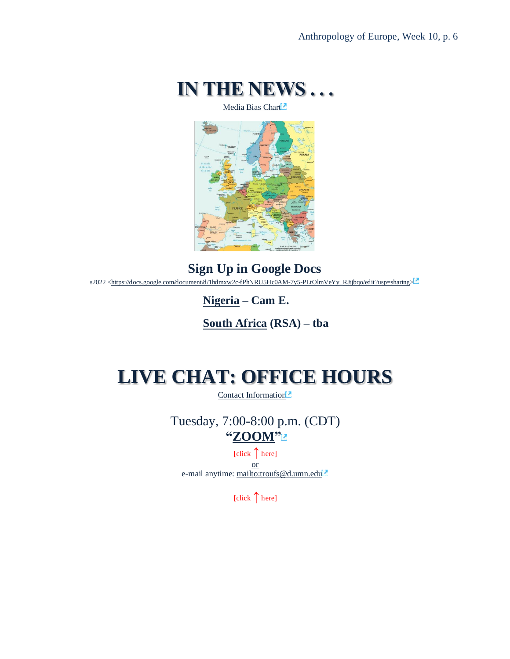

[Media Bias Chart](https://www.d.umn.edu/cla/faculty/troufs/anth4616/cpalternativefacts.html#mediabiaschart)

<span id="page-5-0"></span>

**Sign Up in Google Docs** s2022 [<https://docs.google.com/document/d/1hdmxw2c-fPhNRU5Hc0AM-7y5-PLtOlmVeYy\\_RJtjbqo/edit?usp=sharing>](https://docs.google.com/document/d/1hdmxw2c-fPhNRU5Hc0AM-7y5-PLtOlmVeYy_RJtjbqo/edit?usp=sharing)

**[Nigeria](https://www.d.umn.edu/cla/faculty/troufs/anth1095/Nigeria.html#project_sources) – Cam E.**

**[South Africa](https://www.d.umn.edu/cla/faculty/troufs/anth1095/South_Africa.html#project_sources) (RSA) – tba**

## <span id="page-5-1"></span>**LIVE CHAT: OFFICE HOURS**

[Contact Information](http://www.d.umn.edu/cla/faculty/troufs/anth1602/pcoffice.html#title)<sup>1</sup>

Tuesday, 7:00-8:00 p.m. (CDT) **["ZOOM"](https://umn.zoom.us/my/troufs)**

[click **↑**here] or e-mail anytime: <mailto:troufs@d.umn.edu>

[click **↑**here]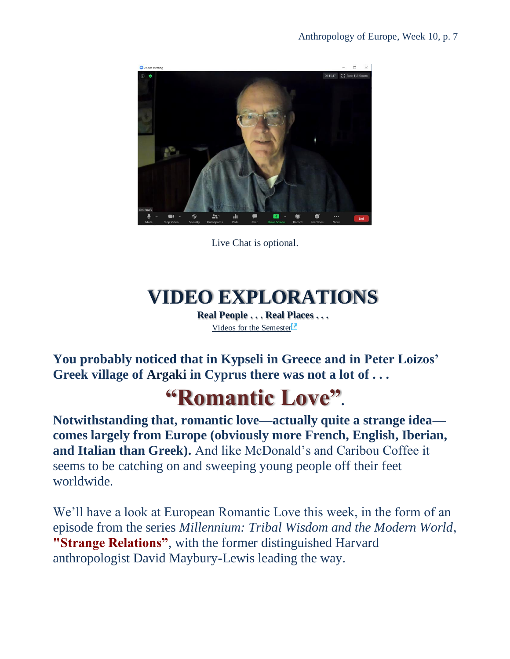

Live Chat is optional.

# **VIDEO EXPLORATIONS**

**Real People . . . Real Places . . .** [Videos for the Semester](https://www.d.umn.edu/cla/faculty/troufs/anth3635/cevideo_schedule.html#title)<sup>1</sup>

<span id="page-6-1"></span><span id="page-6-0"></span>**You probably noticed that in Kypseli in Greece and in Peter Loizos' Greek village of Argaki in Cyprus there was not a lot of . . .**

# **"Romantic Love".**

**Notwithstanding that, romantic love—actually quite a strange idea comes largely from Europe (obviously more French, English, Iberian, and Italian than Greek).** And like McDonald's and Caribou Coffee it seems to be catching on and sweeping young people off their feet worldwide.

We'll have a look at European Romantic Love this week, in the form of an episode from the series *Millennium: Tribal Wisdom and the Modern World*, **"Strange Relations"**, with the former distinguished Harvard anthropologist David Maybury-Lewis leading the way.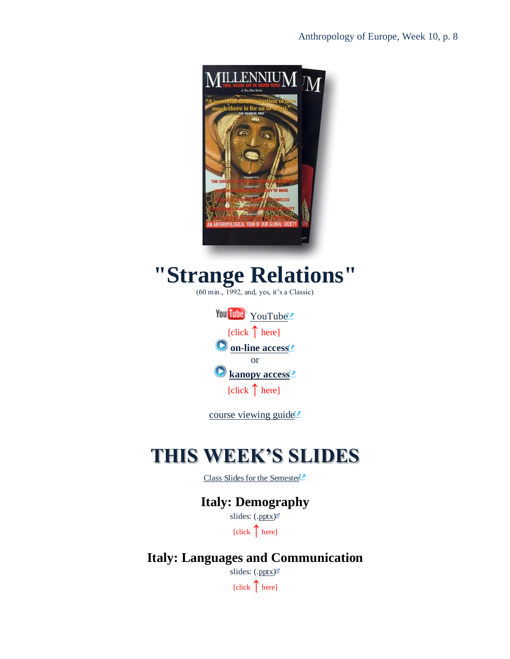

# **"Strange Relations"**

(60 min., 1992, and, yes, it's a Classic)

| You Tube You Tube              |
|--------------------------------|
| [click $\uparrow$ here]        |
| O on-line access <sup>12</sup> |
| Ωr                             |
| Ranopy access <sup>1</sup>     |
| [click $\uparrow$ here]        |

[course viewing guide](https://www.d.umn.edu/cla/faculty/troufs/anth1604/video/Strange_Relations.html#title)<sup>2</sup>

## <span id="page-7-0"></span>**THIS WEEK'S SLIDES**

[Class Slides for the Semester](https://www.d.umn.edu/cla/faculty/troufs/anth3635/ceslides.html#title)

### **Italy: Demography**

slides: [\(.pptx\)](https://www.d.umn.edu/cla/faculty/troufs/anth3635/PowerPoint/Italy_1_demography.pptx) [click ↑here]

**Italy: Languages and Communication**

slides: [\(.pptx\)](https://www.d.umn.edu/cla/faculty/troufs/anth3635/PowerPoint/Italy_2_languages.pptx)  $[click \n{\n\text{here}}]$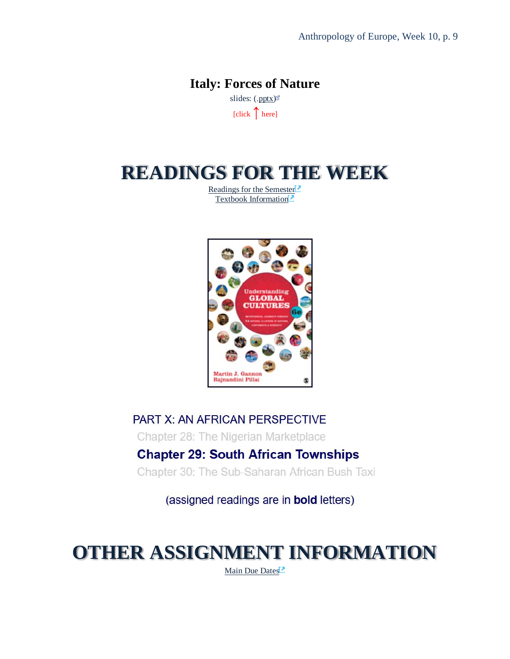### **Italy: Forces of Nature** slides: [\(.pptx\)](https://www.d.umn.edu/cla/faculty/troufs/anth3635/PowerPoint/Italy_4_forces_of_nature.pptx)

[click ↑here]

## <span id="page-8-0"></span>**READINGS FOR THE WEEK**

[Readings for the Semester](https://www.d.umn.edu/cla/faculty/troufs/anth3635/ceread-s.html#title)<sup>[2]</sup> [Textbook Information](https://www.d.umn.edu/cla/faculty/troufs/anth3635/cetexts.html#title)<sup>2</sup>



PART X: AN AFRICAN PERSPECTIVE Chapter 28: The Nigerian Marketplace **Chapter 29: South African Townships** Chapter 30: The Sub-Saharan African Bush Taxi

(assigned readings are in **bold** letters)

# <span id="page-8-2"></span><span id="page-8-1"></span>**OTHER ASSIGNMENT INFORMATION**

[Main Due Dates](https://www.d.umn.edu/cla/faculty/troufs/anth3635/cedue-dates.html#title)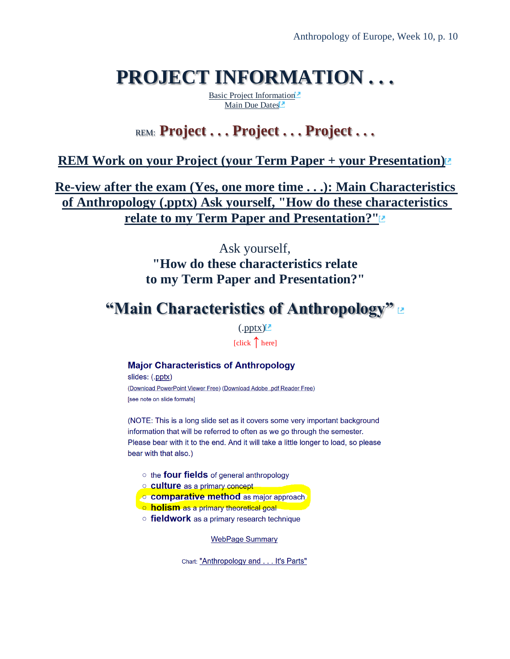# **PROJECT INFORMATION . . .**

[Basic Project Information](https://www.d.umn.edu/cla/faculty/troufs/anth3635/ceproject.html#title) [Main Due Dates](https://www.d.umn.edu/cla/faculty/troufs/anth3635/cedue-dates.html#title)

## REM: **Project . . . Project . . . Project . . .**

### **[REM Work on your Project \(your Term Paper + your Presentation\)](https://canvas.umn.edu/courses/282731/modules/items/6597952)**

**[Re-view after the exam \(Yes, one more time](https://canvas.umn.edu/courses/282731/modules/items/6965673) . . .): Main Characteristics [of Anthropology \(.pptx\) Ask yourself, "How do these characteristics](https://canvas.umn.edu/courses/282731/modules/items/6965673)  [relate to my Term Paper and Presentation?"](https://canvas.umn.edu/courses/282731/modules/items/6965673)**

### Ask yourself,

**"How do these characteristics relate to my Term Paper and Presentation?"**

## **"Main Characteristics of Anthropology"**

 $(\text{.pptx})^2$ 

[click ↑here]

#### **Major Characteristics of Anthropology**

slides: (.pptx) (Download PowerPoint Viewer Free) (Download Adobe .pdf Reader Free) [see note on slide formats]

(NOTE: This is a long slide set as it covers some very important background information that will be referred to often as we go through the semester. Please bear with it to the end. And it will take a little longer to load, so please bear with that also.)

- the **four fields** of general anthropology
- **Culture** as a primary concept
- <mark>.○ comparative method</mark> as major approach.
- o holism as a primary theoretical goal-
- $\circ$  fieldwork as a primary research technique

WebPage Summary

Chart: "Anthropology and . . . It's Parts"